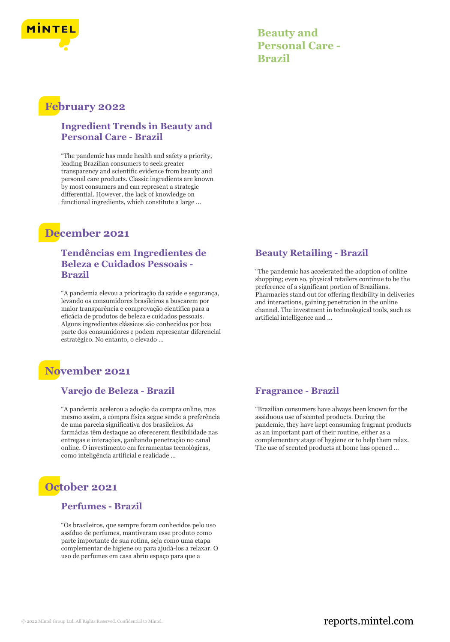

**Beauty and Personal Care - Brazil**

## **February 2022**

#### **Ingredient Trends in Beauty and Personal Care - Brazil**

"The pandemic has made health and safety a priority, leading Brazilian consumers to seek greater transparency and scientific evidence from beauty and personal care products. Classic ingredients are known by most consumers and can represent a strategic differential. However, the lack of knowledge on functional ingredients, which constitute a large ...

# **December 2021**

### **Tendências em Ingredientes de Beleza e Cuidados Pessoais - Brazil**

"A pandemia elevou a priorização da saúde e segurança, levando os consumidores brasileiros a buscarem por maior transparência e comprovação científica para a eficácia de produtos de beleza e cuidados pessoais. Alguns ingredientes clássicos são conhecidos por boa parte dos consumidores e podem representar diferencial estratégico. No entanto, o elevado ...

## **Beauty Retailing - Brazil**

"The pandemic has accelerated the adoption of online shopping; even so, physical retailers continue to be the preference of a significant portion of Brazilians. Pharmacies stand out for offering flexibility in deliveries and interactions, gaining penetration in the online channel. The investment in technological tools, such as artificial intelligence and ...

## **November 2021**

#### **Varejo de Beleza - Brazil**

"A pandemia acelerou a adoção da compra online, mas mesmo assim, a compra física segue sendo a preferência de uma parcela significativa dos brasileiros. As farmácias têm destaque ao oferecerem flexibilidade nas entregas e interações, ganhando penetração no canal online. O investimento em ferramentas tecnológicas, como inteligência artificial e realidade ...

# **October 2021**

#### **Perfumes - Brazil**

"Os brasileiros, que sempre foram conhecidos pelo uso assíduo de perfumes, mantiveram esse produto como parte importante de sua rotina, seja como uma etapa complementar de higiene ou para ajudá-los a relaxar. O uso de perfumes em casa abriu espaço para que a

### **Fragrance - Brazil**

"Brazilian consumers have always been known for the assiduous use of scented products. During the pandemic, they have kept consuming fragrant products as an important part of their routine, either as a complementary stage of hygiene or to help them relax. The use of scented products at home has opened ...